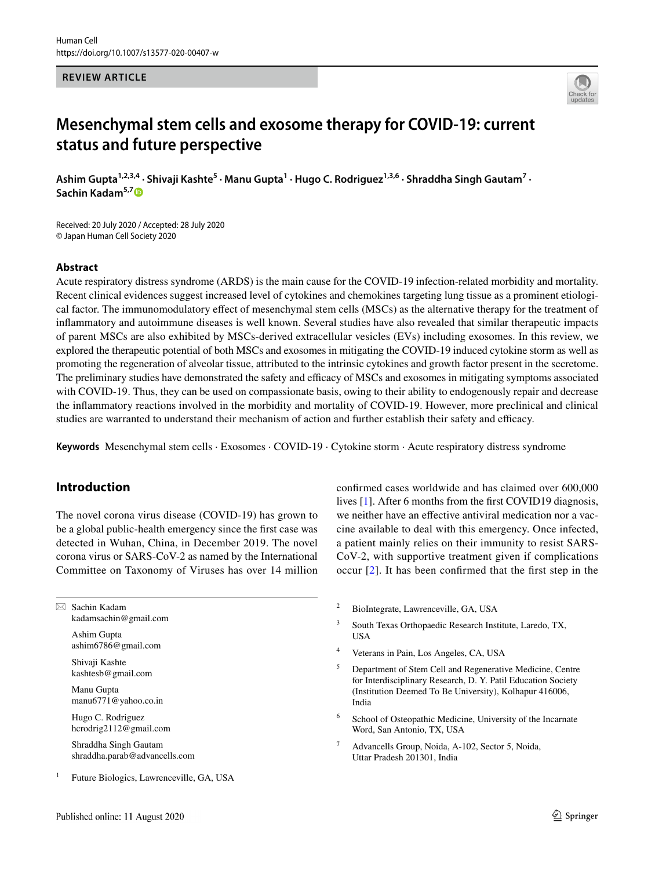#### **REVIEW ARTICLE**



# **Mesenchymal stem cells and exosome therapy for COVID‑19: current status and future perspective**

Ashim Gupta<sup>1,2,3,4</sup> • Shivaji Kashte<sup>5</sup> • Manu Gupta<sup>1</sup> • Hugo C. Rodriguez<sup>1,3,6</sup> • Shraddha Singh Gautam<sup>7</sup> • **Sachin Kadam5,[7](http://orcid.org/0000-0002-9937-4736)**

Received: 20 July 2020 / Accepted: 28 July 2020 © Japan Human Cell Society 2020

## **Abstract**

Acute respiratory distress syndrome (ARDS) is the main cause for the COVID-19 infection-related morbidity and mortality. Recent clinical evidences suggest increased level of cytokines and chemokines targeting lung tissue as a prominent etiological factor. The immunomodulatory efect of mesenchymal stem cells (MSCs) as the alternative therapy for the treatment of infammatory and autoimmune diseases is well known. Several studies have also revealed that similar therapeutic impacts of parent MSCs are also exhibited by MSCs-derived extracellular vesicles (EVs) including exosomes. In this review, we explored the therapeutic potential of both MSCs and exosomes in mitigating the COVID-19 induced cytokine storm as well as promoting the regeneration of alveolar tissue, attributed to the intrinsic cytokines and growth factor present in the secretome. The preliminary studies have demonstrated the safety and efficacy of MSCs and exosomes in mitigating symptoms associated with COVID-19. Thus, they can be used on compassionate basis, owing to their ability to endogenously repair and decrease the infammatory reactions involved in the morbidity and mortality of COVID-19. However, more preclinical and clinical studies are warranted to understand their mechanism of action and further establish their safety and efficacy.

**Keywords** Mesenchymal stem cells · Exosomes · COVID-19 · Cytokine storm · Acute respiratory distress syndrome

# **Introduction**

The novel corona virus disease (COVID-19) has grown to be a global public-health emergency since the frst case was detected in Wuhan, China, in December 2019. The novel corona virus or SARS-CoV-2 as named by the International Committee on Taxonomy of Viruses has over 14 million

 $\boxtimes$  Sachin Kadam kadamsachin@gmail.com

> Ashim Gupta ashim6786@gmail.com

Shivaji Kashte kashtesb@gmail.com

Manu Gupta manu6771@yahoo.co.in

Hugo C. Rodriguez hcrodrig2112@gmail.com

Shraddha Singh Gautam shraddha.parab@advancells.com

<sup>1</sup> Future Biologics, Lawrenceville, GA, USA

lives [\[1](#page-10-0)]. After 6 months from the frst COVID19 diagnosis, we neither have an efective antiviral medication nor a vaccine available to deal with this emergency. Once infected, a patient mainly relies on their immunity to resist SARS-CoV-2, with supportive treatment given if complications occur [[2](#page-10-1)]. It has been confrmed that the frst step in the

confrmed cases worldwide and has claimed over 600,000

- <sup>2</sup> BioIntegrate, Lawrenceville, GA, USA
- <sup>3</sup> South Texas Orthopaedic Research Institute, Laredo, TX, USA
- <sup>4</sup> Veterans in Pain, Los Angeles, CA, USA
- <sup>5</sup> Department of Stem Cell and Regenerative Medicine, Centre for Interdisciplinary Research, D. Y. Patil Education Society (Institution Deemed To Be University), Kolhapur 416006, India
- School of Osteopathic Medicine, University of the Incarnate Word, San Antonio, TX, USA
- <sup>7</sup> Advancells Group, Noida, A-102, Sector 5, Noida, Uttar Pradesh 201301, India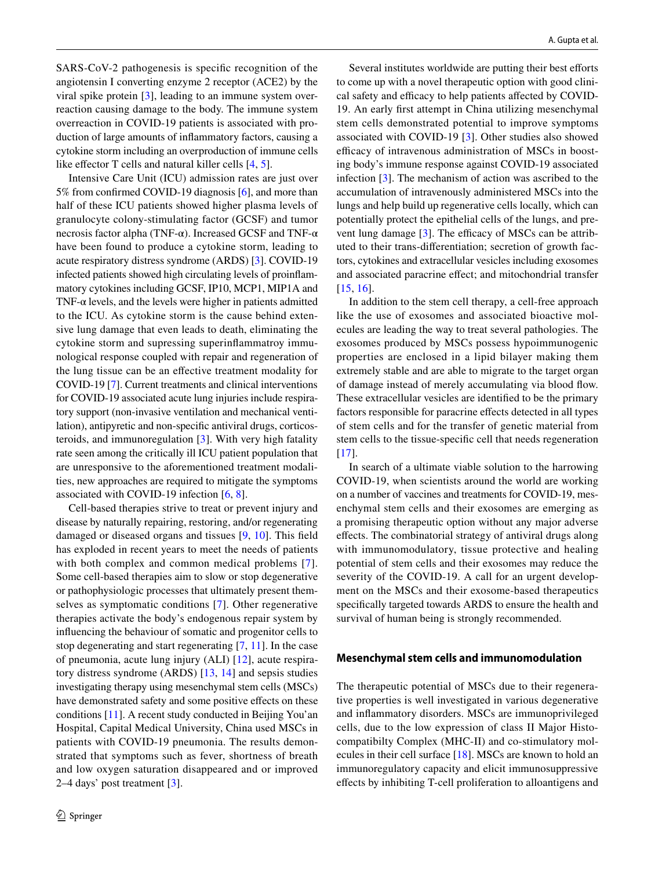SARS-CoV-2 pathogenesis is specifc recognition of the angiotensin I converting enzyme 2 receptor (ACE2) by the viral spike protein [[3\]](#page-10-2), leading to an immune system overreaction causing damage to the body. The immune system overreaction in COVID-19 patients is associated with production of large amounts of infammatory factors, causing a cytokine storm including an overproduction of immune cells like effector T cells and natural killer cells  $[4, 5]$  $[4, 5]$  $[4, 5]$  $[4, 5]$ .

Intensive Care Unit (ICU) admission rates are just over 5% from confrmed COVID-19 diagnosis [[6\]](#page-10-5), and more than half of these ICU patients showed higher plasma levels of granulocyte colony-stimulating factor (GCSF) and tumor necrosis factor alpha (TNF-α). Increased GCSF and TNF-α have been found to produce a cytokine storm, leading to acute respiratory distress syndrome (ARDS) [[3\]](#page-10-2). COVID-19 infected patients showed high circulating levels of proinfammatory cytokines including GCSF, IP10, MCP1, MIP1A and TNF- $\alpha$  levels, and the levels were higher in patients admitted to the ICU. As cytokine storm is the cause behind extensive lung damage that even leads to death, eliminating the cytokine storm and supressing superinfammatroy immunological response coupled with repair and regeneration of the lung tissue can be an efective treatment modality for COVID-19 [[7\]](#page-10-6). Current treatments and clinical interventions for COVID-19 associated acute lung injuries include respiratory support (non-invasive ventilation and mechanical ventilation), antipyretic and non-specifc antiviral drugs, corticosteroids, and immunoregulation [\[3](#page-10-2)]. With very high fatality rate seen among the critically ill ICU patient population that are unresponsive to the aforementioned treatment modalities, new approaches are required to mitigate the symptoms associated with COVID-19 infection [\[6](#page-10-5), [8\]](#page-10-7).

Cell-based therapies strive to treat or prevent injury and disease by naturally repairing, restoring, and/or regenerating damaged or diseased organs and tissues [\[9,](#page-10-8) [10](#page-10-9)]. This feld has exploded in recent years to meet the needs of patients with both complex and common medical problems [[7](#page-10-6)]. Some cell-based therapies aim to slow or stop degenerative or pathophysiologic processes that ultimately present themselves as symptomatic conditions [\[7](#page-10-6)]. Other regenerative therapies activate the body's endogenous repair system by infuencing the behaviour of somatic and progenitor cells to stop degenerating and start regenerating [[7,](#page-10-6) [11\]](#page-10-10). In the case of pneumonia, acute lung injury (ALI) [\[12](#page-10-11)], acute respiratory distress syndrome (ARDS) [\[13,](#page-10-12) [14\]](#page-10-13) and sepsis studies investigating therapy using mesenchymal stem cells (MSCs) have demonstrated safety and some positive effects on these conditions [\[11](#page-10-10)]. A recent study conducted in Beijing You'an Hospital, Capital Medical University, China used MSCs in patients with COVID-19 pneumonia. The results demonstrated that symptoms such as fever, shortness of breath and low oxygen saturation disappeared and or improved 2–4 days' post treatment [\[3](#page-10-2)].

Several institutes worldwide are putting their best efforts to come up with a novel therapeutic option with good clinical safety and efficacy to help patients affected by COVID-19. An early frst attempt in China utilizing mesenchymal stem cells demonstrated potential to improve symptoms associated with COVID-19 [\[3](#page-10-2)]. Other studies also showed efficacy of intravenous administration of MSCs in boosting body's immune response against COVID-19 associated infection [[3\]](#page-10-2). The mechanism of action was ascribed to the accumulation of intravenously administered MSCs into the lungs and help build up regenerative cells locally, which can potentially protect the epithelial cells of the lungs, and prevent lung damage  $[3]$  $[3]$ . The efficacy of MSCs can be attributed to their trans-diferentiation; secretion of growth factors, cytokines and extracellular vesicles including exosomes and associated paracrine efect; and mitochondrial transfer [[15,](#page-10-14) [16\]](#page-10-15).

In addition to the stem cell therapy, a cell-free approach like the use of exosomes and associated bioactive molecules are leading the way to treat several pathologies. The exosomes produced by MSCs possess hypoimmunogenic properties are enclosed in a lipid bilayer making them extremely stable and are able to migrate to the target organ of damage instead of merely accumulating via blood fow. These extracellular vesicles are identifed to be the primary factors responsible for paracrine efects detected in all types of stem cells and for the transfer of genetic material from stem cells to the tissue-specifc cell that needs regeneration  $[17]$  $[17]$ .

In search of a ultimate viable solution to the harrowing COVID-19, when scientists around the world are working on a number of vaccines and treatments for COVID-19, mesenchymal stem cells and their exosomes are emerging as a promising therapeutic option without any major adverse efects. The combinatorial strategy of antiviral drugs along with immunomodulatory, tissue protective and healing potential of stem cells and their exosomes may reduce the severity of the COVID-19. A call for an urgent development on the MSCs and their exosome-based therapeutics specifcally targeted towards ARDS to ensure the health and survival of human being is strongly recommended.

#### **Mesenchymal stem cells and immunomodulation**

The therapeutic potential of MSCs due to their regenerative properties is well investigated in various degenerative and infammatory disorders. MSCs are immunoprivileged cells, due to the low expression of class II Major Histocompatibilty Complex (MHC-II) and co-stimulatory molecules in their cell surface [\[18](#page-10-17)]. MSCs are known to hold an immunoregulatory capacity and elicit immunosuppressive efects by inhibiting T-cell proliferation to alloantigens and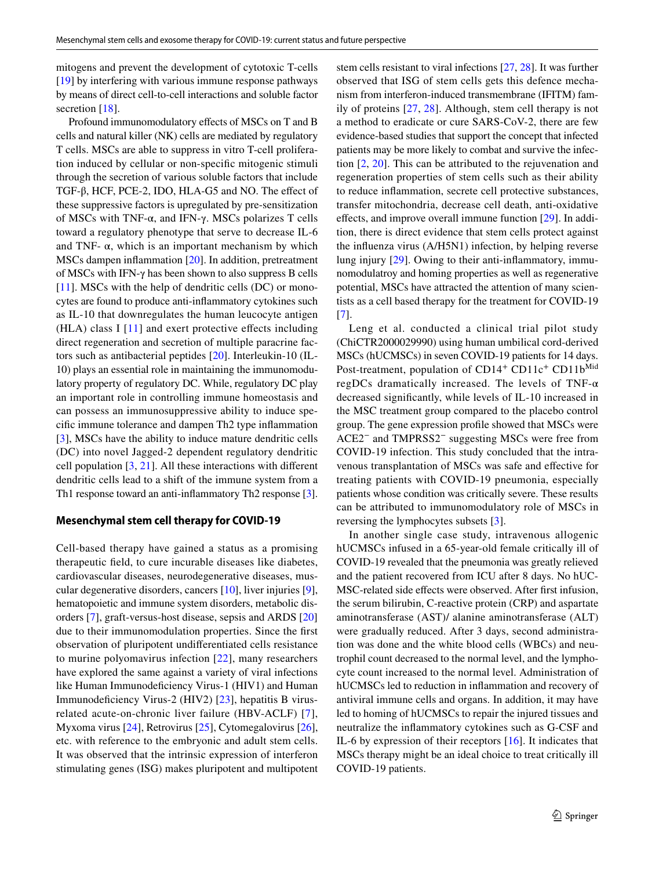mitogens and prevent the development of cytotoxic T-cells [\[19](#page-10-18)] by interfering with various immune response pathways by means of direct cell-to-cell interactions and soluble factor secretion [\[18](#page-10-17)].

Profound immunomodulatory efects of MSCs on T and B cells and natural killer (NK) cells are mediated by regulatory T cells. MSCs are able to suppress in vitro T-cell proliferation induced by cellular or non-specifc mitogenic stimuli through the secretion of various soluble factors that include TGF-β, HCF, PCE-2, IDO, HLA-G5 and NO. The efect of these suppressive factors is upregulated by pre-sensitization of MSCs with TNF-α, and IFN-γ. MSCs polarizes T cells toward a regulatory phenotype that serve to decrease IL-6 and TNF- $\alpha$ , which is an important mechanism by which MSCs dampen inflammation [[20\]](#page-10-19). In addition, pretreatment of MSCs with IFN-γ has been shown to also suppress B cells [\[11\]](#page-10-10). MSCs with the help of dendritic cells (DC) or monocytes are found to produce anti-infammatory cytokines such as IL-10 that downregulates the human leucocyte antigen (HLA) class I  $[11]$  $[11]$  $[11]$  and exert protective effects including direct regeneration and secretion of multiple paracrine factors such as antibacterial peptides [[20\]](#page-10-19). Interleukin-10 (IL-10) plays an essential role in maintaining the immunomodulatory property of regulatory DC. While, regulatory DC play an important role in controlling immune homeostasis and can possess an immunosuppressive ability to induce specifc immune tolerance and dampen Th2 type infammation [\[3](#page-10-2)], MSCs have the ability to induce mature dendritic cells (DC) into novel Jagged-2 dependent regulatory dendritic cell population [\[3](#page-10-2), [21](#page-10-20)]. All these interactions with diferent dendritic cells lead to a shift of the immune system from a Th1 response toward an anti-infammatory Th2 response [\[3](#page-10-2)].

## **Mesenchymal stem cell therapy for COVID‑19**

Cell-based therapy have gained a status as a promising therapeutic feld, to cure incurable diseases like diabetes, cardiovascular diseases, neurodegenerative diseases, muscular degenerative disorders, cancers [[10\]](#page-10-9), liver injuries [\[9](#page-10-8)], hematopoietic and immune system disorders, metabolic disorders [[7\]](#page-10-6), graft-versus-host disease, sepsis and ARDS [[20\]](#page-10-19) due to their immunomodulation properties. Since the frst observation of pluripotent undiferentiated cells resistance to murine polyomavirus infection [[22\]](#page-10-21), many researchers have explored the same against a variety of viral infections like Human Immunodeficiency Virus-1 (HIV1) and Human Immunodefciency Virus-2 (HIV2) [[23\]](#page-10-22), hepatitis B virusrelated acute-on-chronic liver failure (HBV-ACLF) [[7](#page-10-6)], Myxoma virus [\[24](#page-10-23)], Retrovirus [[25\]](#page-11-0), Cytomegalovirus [\[26](#page-11-1)], etc. with reference to the embryonic and adult stem cells. It was observed that the intrinsic expression of interferon stimulating genes (ISG) makes pluripotent and multipotent stem cells resistant to viral infections [\[27](#page-11-2), [28\]](#page-11-3). It was further observed that ISG of stem cells gets this defence mechanism from interferon-induced transmembrane (IFITM) family of proteins [[27](#page-11-2), [28\]](#page-11-3). Although, stem cell therapy is not a method to eradicate or cure SARS-CoV-2, there are few evidence-based studies that support the concept that infected patients may be more likely to combat and survive the infection [\[2](#page-10-1), [20\]](#page-10-19). This can be attributed to the rejuvenation and regeneration properties of stem cells such as their ability to reduce infammation, secrete cell protective substances, transfer mitochondria, decrease cell death, anti-oxidative efects, and improve overall immune function [\[29\]](#page-11-4). In addition, there is direct evidence that stem cells protect against the infuenza virus (A/H5N1) infection, by helping reverse lung injury [[29\]](#page-11-4). Owing to their anti-infammatory, immunomodulatroy and homing properties as well as regenerative potential, MSCs have attracted the attention of many scientists as a cell based therapy for the treatment for COVID-19 [[7\]](#page-10-6).

Leng et al. conducted a clinical trial pilot study (ChiCTR2000029990) using human umbilical cord-derived MSCs (hUCMSCs) in seven COVID-19 patients for 14 days. Post-treatment, population of CD14<sup>+</sup> CD11c<sup>+</sup> CD11b<sup>Mid</sup> regDCs dramatically increased. The levels of TNF-α decreased signifcantly, while levels of IL-10 increased in the MSC treatment group compared to the placebo control group. The gene expression profle showed that MSCs were ACE2− and TMPRSS2− suggesting MSCs were free from COVID-19 infection. This study concluded that the intravenous transplantation of MSCs was safe and efective for treating patients with COVID-19 pneumonia, especially patients whose condition was critically severe. These results can be attributed to immunomodulatory role of MSCs in reversing the lymphocytes subsets [\[3\]](#page-10-2).

In another single case study, intravenous allogenic hUCMSCs infused in a 65-year-old female critically ill of COVID-19 revealed that the pneumonia was greatly relieved and the patient recovered from ICU after 8 days. No hUC-MSC-related side efects were observed. After frst infusion, the serum bilirubin, C-reactive protein (CRP) and aspartate aminotransferase (AST)/ alanine aminotransferase (ALT) were gradually reduced. After 3 days, second administration was done and the white blood cells (WBCs) and neutrophil count decreased to the normal level, and the lymphocyte count increased to the normal level. Administration of hUCMSCs led to reduction in infammation and recovery of antiviral immune cells and organs. In addition, it may have led to homing of hUCMSCs to repair the injured tissues and neutralize the infammatory cytokines such as G-CSF and IL-6 by expression of their receptors [[16](#page-10-15)]. It indicates that MSCs therapy might be an ideal choice to treat critically ill COVID-19 patients.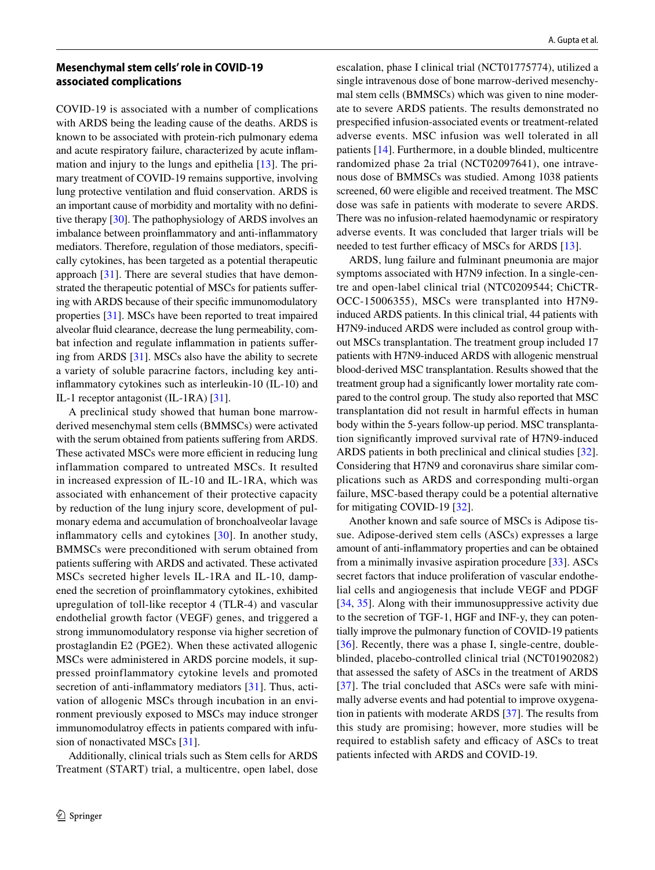## **Mesenchymal stem cells' role in COVID‑19 associated complications**

COVID-19 is associated with a number of complications with ARDS being the leading cause of the deaths. ARDS is known to be associated with protein-rich pulmonary edema and acute respiratory failure, characterized by acute infammation and injury to the lungs and epithelia [[13\]](#page-10-12). The primary treatment of COVID-19 remains supportive, involving lung protective ventilation and fuid conservation. ARDS is an important cause of morbidity and mortality with no defnitive therapy [[30\]](#page-11-5). The pathophysiology of ARDS involves an imbalance between proinfammatory and anti-infammatory mediators. Therefore, regulation of those mediators, specifcally cytokines, has been targeted as a potential therapeutic approach [\[31\]](#page-11-6). There are several studies that have demonstrated the therapeutic potential of MSCs for patients sufering with ARDS because of their specifc immunomodulatory properties [\[31](#page-11-6)]. MSCs have been reported to treat impaired alveolar fuid clearance, decrease the lung permeability, combat infection and regulate infammation in patients sufering from ARDS [\[31](#page-11-6)]. MSCs also have the ability to secrete a variety of soluble paracrine factors, including key antiinfammatory cytokines such as interleukin-10 (IL-10) and IL-1 receptor antagonist (IL-1RA) [\[31](#page-11-6)].

A preclinical study showed that human bone marrowderived mesenchymal stem cells (BMMSCs) were activated with the serum obtained from patients suffering from ARDS. These activated MSCs were more efficient in reducing lung inflammation compared to untreated MSCs. It resulted in increased expression of IL-10 and IL-1RA, which was associated with enhancement of their protective capacity by reduction of the lung injury score, development of pulmonary edema and accumulation of bronchoalveolar lavage infammatory cells and cytokines [[30\]](#page-11-5). In another study, BMMSCs were preconditioned with serum obtained from patients sufering with ARDS and activated. These activated MSCs secreted higher levels IL-1RA and IL-10, dampened the secretion of proinfammatory cytokines, exhibited upregulation of toll-like receptor 4 (TLR-4) and vascular endothelial growth factor (VEGF) genes, and triggered a strong immunomodulatory response via higher secretion of prostaglandin E2 (PGE2). When these activated allogenic MSCs were administered in ARDS porcine models, it suppressed proinflammatory cytokine levels and promoted secretion of anti-inflammatory mediators [[31](#page-11-6)]. Thus, activation of allogenic MSCs through incubation in an environment previously exposed to MSCs may induce stronger immunomodulatroy effects in patients compared with infusion of nonactivated MSCs [\[31](#page-11-6)].

Additionally, clinical trials such as Stem cells for ARDS Treatment (START) trial, a multicentre, open label, dose escalation, phase I clinical trial (NCT01775774), utilized a single intravenous dose of bone marrow-derived mesenchymal stem cells (BMMSCs) which was given to nine moderate to severe ARDS patients. The results demonstrated no prespecifed infusion-associated events or treatment-related adverse events. MSC infusion was well tolerated in all patients [\[14](#page-10-13)]. Furthermore, in a double blinded, multicentre randomized phase 2a trial (NCT02097641), one intravenous dose of BMMSCs was studied. Among 1038 patients screened, 60 were eligible and received treatment. The MSC dose was safe in patients with moderate to severe ARDS. There was no infusion-related haemodynamic or respiratory adverse events. It was concluded that larger trials will be needed to test further efficacy of MSCs for ARDS [\[13](#page-10-12)].

ARDS, lung failure and fulminant pneumonia are major symptoms associated with H7N9 infection. In a single-centre and open-label clinical trial (NTC0209544; ChiCTR-OCC-15006355), MSCs were transplanted into H7N9 induced ARDS patients. In this clinical trial, 44 patients with H7N9-induced ARDS were included as control group without MSCs transplantation. The treatment group included 17 patients with H7N9-induced ARDS with allogenic menstrual blood-derived MSC transplantation. Results showed that the treatment group had a signifcantly lower mortality rate compared to the control group. The study also reported that MSC transplantation did not result in harmful efects in human body within the 5-years follow-up period. MSC transplantation signifcantly improved survival rate of H7N9-induced ARDS patients in both preclinical and clinical studies [\[32](#page-11-7)]. Considering that H7N9 and coronavirus share similar complications such as ARDS and corresponding multi-organ failure, MSC-based therapy could be a potential alternative for mitigating COVID-19 [[32\]](#page-11-7).

Another known and safe source of MSCs is Adipose tissue. Adipose-derived stem cells (ASCs) expresses a large amount of anti-infammatory properties and can be obtained from a minimally invasive aspiration procedure [\[33](#page-11-8)]. ASCs secret factors that induce proliferation of vascular endothelial cells and angiogenesis that include VEGF and PDGF [[34,](#page-11-9) [35\]](#page-11-10). Along with their immunosuppressive activity due to the secretion of TGF-1, HGF and INF-y, they can potentially improve the pulmonary function of COVID-19 patients [[36\]](#page-11-11). Recently, there was a phase I, single-centre, doubleblinded, placebo-controlled clinical trial (NCT01902082) that assessed the safety of ASCs in the treatment of ARDS [[37\]](#page-11-12). The trial concluded that ASCs were safe with minimally adverse events and had potential to improve oxygenation in patients with moderate ARDS [\[37](#page-11-12)]. The results from this study are promising; however, more studies will be required to establish safety and efficacy of ASCs to treat patients infected with ARDS and COVID-19.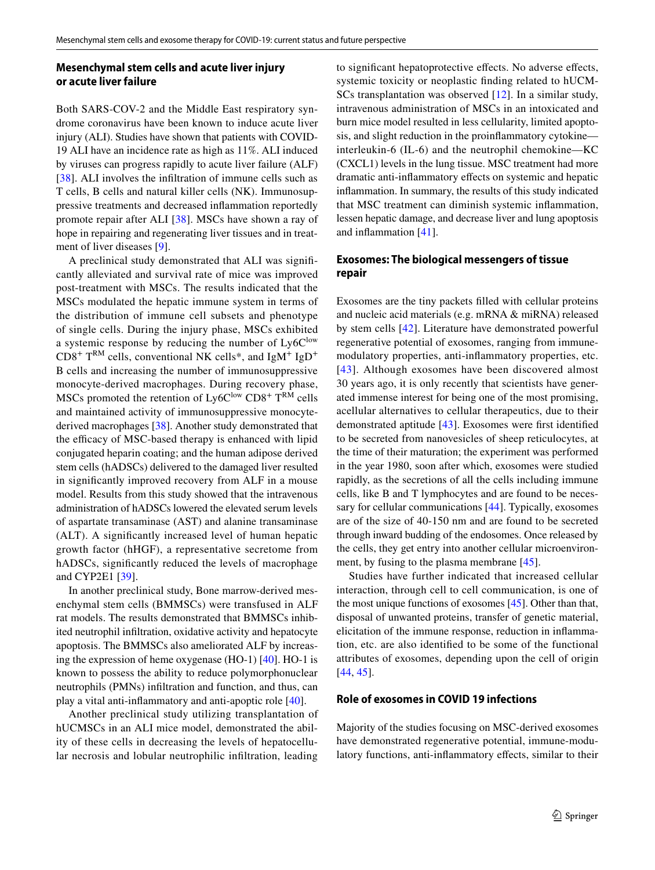## **Mesenchymal stem cells and acute liver injury or acute liver failure**

Both SARS-COV-2 and the Middle East respiratory syndrome coronavirus have been known to induce acute liver injury (ALI). Studies have shown that patients with COVID-19 ALI have an incidence rate as high as 11%. ALI induced by viruses can progress rapidly to acute liver failure (ALF) [\[38\]](#page-11-13). ALI involves the infiltration of immune cells such as T cells, B cells and natural killer cells (NK). Immunosuppressive treatments and decreased infammation reportedly promote repair after ALI [[38\]](#page-11-13). MSCs have shown a ray of hope in repairing and regenerating liver tissues and in treatment of liver diseases [\[9](#page-10-8)].

A preclinical study demonstrated that ALI was signifcantly alleviated and survival rate of mice was improved post-treatment with MSCs. The results indicated that the MSCs modulated the hepatic immune system in terms of the distribution of immune cell subsets and phenotype of single cells. During the injury phase, MSCs exhibited a systemic response by reducing the number of  $Ly6C<sup>low</sup>$  $CD8^+$  T<sup>RM</sup> cells, conventional NK cells\*, and IgM<sup>+</sup> IgD<sup>+</sup> B cells and increasing the number of immunosuppressive monocyte-derived macrophages. During recovery phase, MSCs promoted the retention of  $Ly6C^{low}$  CD8<sup>+</sup> T<sup>RM</sup> cells and maintained activity of immunosuppressive monocytederived macrophages [\[38](#page-11-13)]. Another study demonstrated that the efficacy of MSC-based therapy is enhanced with lipid conjugated heparin coating; and the human adipose derived stem cells (hADSCs) delivered to the damaged liver resulted in signifcantly improved recovery from ALF in a mouse model. Results from this study showed that the intravenous administration of hADSCs lowered the elevated serum levels of aspartate transaminase (AST) and alanine transaminase (ALT). A signifcantly increased level of human hepatic growth factor (hHGF), a representative secretome from hADSCs, signifcantly reduced the levels of macrophage and CYP2E1 [[39\]](#page-11-14).

In another preclinical study, Bone marrow-derived mesenchymal stem cells (BMMSCs) were transfused in ALF rat models. The results demonstrated that BMMSCs inhibited neutrophil infltration, oxidative activity and hepatocyte apoptosis. The BMMSCs also ameliorated ALF by increasing the expression of heme oxygenase (HO-1) [\[40](#page-11-15)]. HO-1 is known to possess the ability to reduce polymorphonuclear neutrophils (PMNs) infltration and function, and thus, can play a vital anti-infammatory and anti-apoptic role [[40](#page-11-15)].

Another preclinical study utilizing transplantation of hUCMSCs in an ALI mice model, demonstrated the ability of these cells in decreasing the levels of hepatocellular necrosis and lobular neutrophilic infltration, leading

to significant hepatoprotective effects. No adverse effects, systemic toxicity or neoplastic fnding related to hUCM-SCs transplantation was observed [[12](#page-10-11)]. In a similar study, intravenous administration of MSCs in an intoxicated and burn mice model resulted in less cellularity, limited apoptosis, and slight reduction in the proinfammatory cytokine interleukin-6 (IL-6) and the neutrophil chemokine—KC (CXCL1) levels in the lung tissue. MSC treatment had more dramatic anti-infammatory efects on systemic and hepatic infammation. In summary, the results of this study indicated that MSC treatment can diminish systemic infammation, lessen hepatic damage, and decrease liver and lung apoptosis and infammation [[41\]](#page-11-16).

## **Exosomes: The biological messengers of tissue repair**

Exosomes are the tiny packets flled with cellular proteins and nucleic acid materials (e.g. mRNA & miRNA) released by stem cells [\[42](#page-11-17)]. Literature have demonstrated powerful regenerative potential of exosomes, ranging from immunemodulatory properties, anti-infammatory properties, etc. [[43](#page-11-18)]. Although exosomes have been discovered almost 30 years ago, it is only recently that scientists have generated immense interest for being one of the most promising, acellular alternatives to cellular therapeutics, due to their demonstrated aptitude [\[43](#page-11-18)]. Exosomes were frst identifed to be secreted from nanovesicles of sheep reticulocytes, at the time of their maturation; the experiment was performed in the year 1980, soon after which, exosomes were studied rapidly, as the secretions of all the cells including immune cells, like B and T lymphocytes and are found to be necessary for cellular communications [\[44](#page-11-19)]. Typically, exosomes are of the size of 40-150 nm and are found to be secreted through inward budding of the endosomes. Once released by the cells, they get entry into another cellular microenviron-ment, by fusing to the plasma membrane [[45](#page-11-20)].

Studies have further indicated that increased cellular interaction, through cell to cell communication, is one of the most unique functions of exosomes [[45\]](#page-11-20). Other than that, disposal of unwanted proteins, transfer of genetic material, elicitation of the immune response, reduction in infammation, etc. are also identifed to be some of the functional attributes of exosomes, depending upon the cell of origin [[44,](#page-11-19) [45\]](#page-11-20).

## **Role of exosomes in COVID 19 infections**

Majority of the studies focusing on MSC-derived exosomes have demonstrated regenerative potential, immune-modulatory functions, anti-infammatory efects, similar to their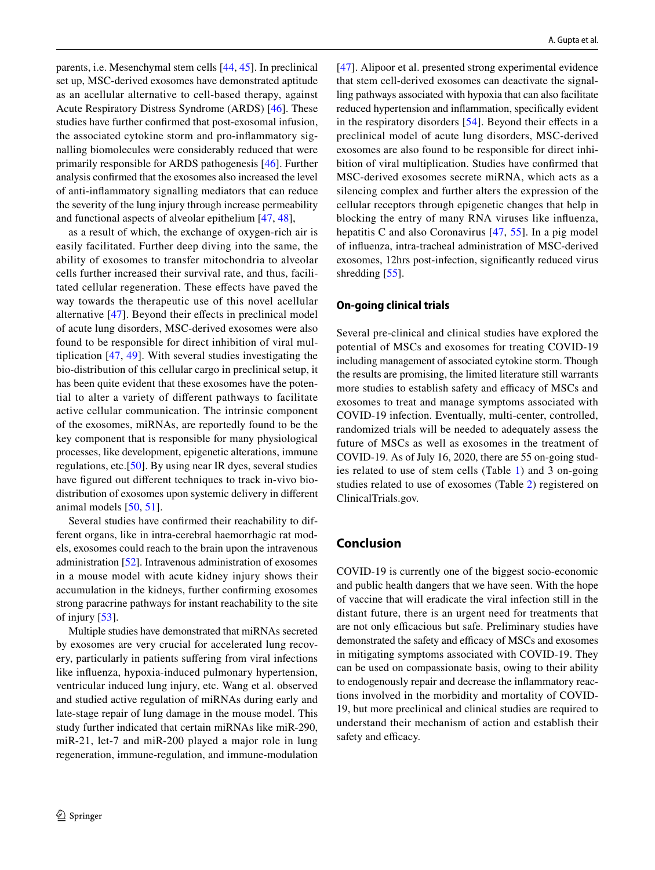parents, i.e. Mesenchymal stem cells [[44](#page-11-19), [45\]](#page-11-20). In preclinical set up, MSC-derived exosomes have demonstrated aptitude as an acellular alternative to cell-based therapy, against Acute Respiratory Distress Syndrome (ARDS) [\[46](#page-11-21)]. These studies have further confrmed that post-exosomal infusion, the associated cytokine storm and pro-infammatory signalling biomolecules were considerably reduced that were primarily responsible for ARDS pathogenesis [[46\]](#page-11-21). Further analysis confrmed that the exosomes also increased the level of anti-infammatory signalling mediators that can reduce the severity of the lung injury through increase permeability and functional aspects of alveolar epithelium [[47,](#page-11-22) [48\]](#page-11-23),

as a result of which, the exchange of oxygen-rich air is easily facilitated. Further deep diving into the same, the ability of exosomes to transfer mitochondria to alveolar cells further increased their survival rate, and thus, facilitated cellular regeneration. These effects have paved the way towards the therapeutic use of this novel acellular alternative [[47](#page-11-22)]. Beyond their efects in preclinical model of acute lung disorders, MSC-derived exosomes were also found to be responsible for direct inhibition of viral multiplication [\[47,](#page-11-22) [49](#page-11-24)]. With several studies investigating the bio-distribution of this cellular cargo in preclinical setup, it has been quite evident that these exosomes have the potential to alter a variety of diferent pathways to facilitate active cellular communication. The intrinsic component of the exosomes, miRNAs, are reportedly found to be the key component that is responsible for many physiological processes, like development, epigenetic alterations, immune regulations, etc.[[50\]](#page-11-25). By using near IR dyes, several studies have fgured out diferent techniques to track in-vivo biodistribution of exosomes upon systemic delivery in diferent animal models [[50,](#page-11-25) [51](#page-11-26)].

Several studies have confrmed their reachability to different organs, like in intra-cerebral haemorrhagic rat models, exosomes could reach to the brain upon the intravenous administration [[52\]](#page-11-27). Intravenous administration of exosomes in a mouse model with acute kidney injury shows their accumulation in the kidneys, further confrming exosomes strong paracrine pathways for instant reachability to the site of injury [\[53](#page-11-28)].

Multiple studies have demonstrated that miRNAs secreted by exosomes are very crucial for accelerated lung recovery, particularly in patients sufering from viral infections like infuenza, hypoxia-induced pulmonary hypertension, ventricular induced lung injury, etc. Wang et al. observed and studied active regulation of miRNAs during early and late-stage repair of lung damage in the mouse model. This study further indicated that certain miRNAs like miR-290, miR-21, let-7 and miR-200 played a major role in lung regeneration, immune-regulation, and immune-modulation

[[47\]](#page-11-22). Alipoor et al. presented strong experimental evidence that stem cell-derived exosomes can deactivate the signalling pathways associated with hypoxia that can also facilitate reduced hypertension and infammation, specifcally evident in the respiratory disorders [[54](#page-11-29)]. Beyond their effects in a preclinical model of acute lung disorders, MSC-derived exosomes are also found to be responsible for direct inhibition of viral multiplication. Studies have confrmed that MSC-derived exosomes secrete miRNA, which acts as a silencing complex and further alters the expression of the cellular receptors through epigenetic changes that help in blocking the entry of many RNA viruses like infuenza, hepatitis C and also Coronavirus [\[47,](#page-11-22) [55\]](#page-11-30). In a pig model of infuenza, intra-tracheal administration of MSC-derived exosomes, 12hrs post-infection, signifcantly reduced virus shredding [[55\]](#page-11-30).

#### **On‑going clinical trials**

Several pre-clinical and clinical studies have explored the potential of MSCs and exosomes for treating COVID-19 including management of associated cytokine storm. Though the results are promising, the limited literature still warrants more studies to establish safety and efficacy of MSCs and exosomes to treat and manage symptoms associated with COVID-19 infection. Eventually, multi-center, controlled, randomized trials will be needed to adequately assess the future of MSCs as well as exosomes in the treatment of COVID-19. As of July 16, 2020, there are 55 on-going studies related to use of stem cells (Table [1\)](#page-6-0) and 3 on-going studies related to use of exosomes (Table [2](#page-10-24)) registered on ClinicalTrials.gov.

## **Conclusion**

COVID-19 is currently one of the biggest socio-economic and public health dangers that we have seen. With the hope of vaccine that will eradicate the viral infection still in the distant future, there is an urgent need for treatments that are not only efficacious but safe. Preliminary studies have demonstrated the safety and efficacy of MSCs and exosomes in mitigating symptoms associated with COVID-19. They can be used on compassionate basis, owing to their ability to endogenously repair and decrease the infammatory reactions involved in the morbidity and mortality of COVID-19, but more preclinical and clinical studies are required to understand their mechanism of action and establish their safety and efficacy.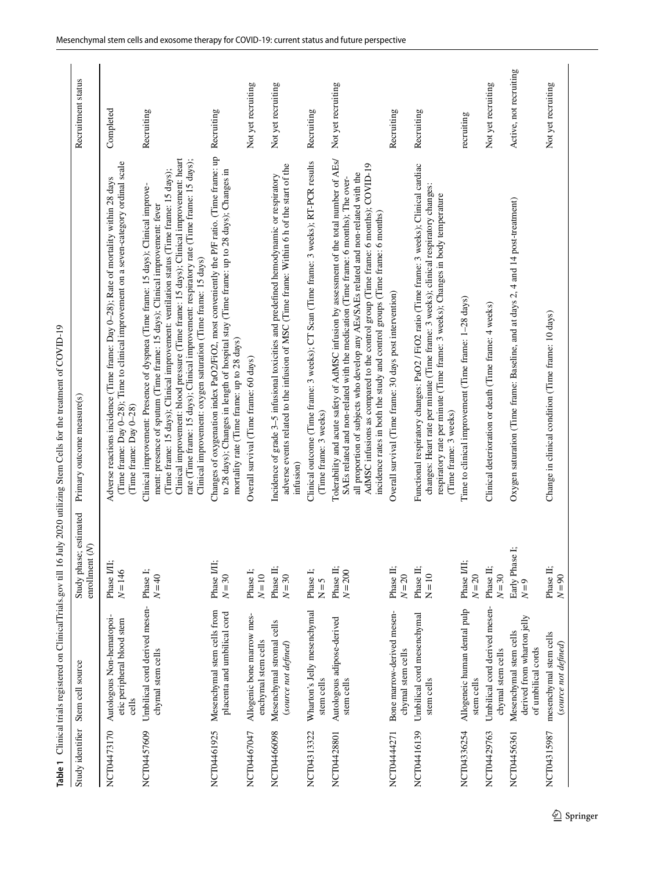<span id="page-6-0"></span>

| ì                                                                                                        |  |
|----------------------------------------------------------------------------------------------------------|--|
|                                                                                                          |  |
|                                                                                                          |  |
|                                                                                                          |  |
|                                                                                                          |  |
|                                                                                                          |  |
|                                                                                                          |  |
|                                                                                                          |  |
|                                                                                                          |  |
|                                                                                                          |  |
|                                                                                                          |  |
|                                                                                                          |  |
|                                                                                                          |  |
| <br> <br> <br> <br>                                                                                      |  |
|                                                                                                          |  |
|                                                                                                          |  |
|                                                                                                          |  |
|                                                                                                          |  |
| l                                                                                                        |  |
|                                                                                                          |  |
|                                                                                                          |  |
|                                                                                                          |  |
|                                                                                                          |  |
|                                                                                                          |  |
|                                                                                                          |  |
|                                                                                                          |  |
|                                                                                                          |  |
| 1                                                                                                        |  |
| I                                                                                                        |  |
|                                                                                                          |  |
|                                                                                                          |  |
|                                                                                                          |  |
|                                                                                                          |  |
|                                                                                                          |  |
|                                                                                                          |  |
|                                                                                                          |  |
|                                                                                                          |  |
|                                                                                                          |  |
|                                                                                                          |  |
|                                                                                                          |  |
|                                                                                                          |  |
|                                                                                                          |  |
|                                                                                                          |  |
|                                                                                                          |  |
|                                                                                                          |  |
| !<br>;<br>;                                                                                              |  |
|                                                                                                          |  |
|                                                                                                          |  |
|                                                                                                          |  |
|                                                                                                          |  |
|                                                                                                          |  |
|                                                                                                          |  |
|                                                                                                          |  |
|                                                                                                          |  |
|                                                                                                          |  |
|                                                                                                          |  |
|                                                                                                          |  |
|                                                                                                          |  |
|                                                                                                          |  |
| .<br>इ.<br>֧֧֧ׅ֧֧֧֧֧֧֧֧֧֧֧֧֧֧֧֧֧֧֧֧֚֚֚֚֚֚֚֚֚֚֚֚֚֚֚֚֚֚֚֚֚֚֚֝֝֝֓֝֬֝֬֝֓֝֓֝֬֝֓֝֬֝֬֝֓֝֬֝֬֝֬֝֬֝֬֝֬֝֬֝֬֝֬֝֬֝֬֝֬ |  |
|                                                                                                          |  |
|                                                                                                          |  |
| Table 1                                                                                                  |  |

|                  |                                                                            |                                             | Table 1 Clinical trials registered on ClinicalTrials.gov till 16 July 2020 utilizing Stem Cells for the treatment of COVID-19                                                                                                                                                                                                                                                                                                                                                                                        |                        |
|------------------|----------------------------------------------------------------------------|---------------------------------------------|----------------------------------------------------------------------------------------------------------------------------------------------------------------------------------------------------------------------------------------------------------------------------------------------------------------------------------------------------------------------------------------------------------------------------------------------------------------------------------------------------------------------|------------------------|
| Study identifier | Stem cell source                                                           | estimated<br>enrollment (N)<br>Study phase; | Primary outcome measure(s)                                                                                                                                                                                                                                                                                                                                                                                                                                                                                           | Recruitment status     |
| NCT04473170      | Autologous Non-hematopoi-<br>etic peripheral blood stem<br>cells           | Phase I/II;<br>$N = 146$                    | (Time frame: Day 0-28); Time to clinical improvement on a seven-category ordinal scale<br>Adverse reactions incidence (Time frame: Day 0-28); Rate of mortality within 28 days<br>(Time frame: Day 0-28)                                                                                                                                                                                                                                                                                                             | Completed              |
| NCT04457609      | Umbilical cord derived mesen-<br>chymal stem cells                         | Phase I;<br>$N = 40$                        | Clinical improvement: blood pressure (Time frame: 15 days); Clinical improvement: heart<br>rate (Time frame: 15 days); Clinical improvement: respiratory rate (Time frame: 15 days);<br>(Time frame: 15 days); Clinical improvement: ventilation status (Time frame: 15 days);<br>Clinical improvement: Presence of dyspnea (Time frame: 15 days); Clinical improve-<br>ment: presence of sputum (Time frame: 15 days); Clinical improvement: fever<br>Clinical improvement: oxygen saturation (Time frame: 15 days) | Recruiting             |
| NCT04461925      | Mesenchymal stem cells from<br>placenta and umbilical cord                 | Phase I/II;<br>$N=30$                       | Changes of oxygenation index PaO2/FiO2, most conveniently the P/F ratio. (Time frame: up<br>to 28 days); Changes in length of hospital stay (Time frame: up to 28 days); Changes in<br>mortality rate (Time frame: up to 28 days)                                                                                                                                                                                                                                                                                    | Recruiting             |
| NCT04467047      | Allogenic bone marrow mes-<br>enchymal stem cells                          | Phase I;<br>$N=10$                          | Overall survival (Time frame: 60 days)                                                                                                                                                                                                                                                                                                                                                                                                                                                                               | Not yet recruiting     |
| NCT04466098      | Mesenchymal stromal cells<br>(source not defined)                          | Phase II;<br>$N=30$                         | adverse events related to the infusion of MSC (Time frame: Within 6 h of the start of the<br>Incidence of grade 3-5 infusional toxicities and predefined hemodynamic or respiratory<br>infusion)                                                                                                                                                                                                                                                                                                                     | Not yet recruiting     |
| NCT04313322      | Wharton's Jelly mesenchymal<br>stem cells                                  | Phase I;<br>$N = 5$                         | Clinical outcome (Time frame: 3 weeks); CT Scan (Time frame: 3 weeks); RT-PCR results<br>(Time frame: 3 weeks)                                                                                                                                                                                                                                                                                                                                                                                                       | Recruiting             |
| NCT04428801      | Autologous adipose-derived<br>stem cells                                   | Phase II;<br>$N = 200$                      | Tolerability and acute safety of AdMSC infusion by assessment of the total number of AEs/<br>AdMSC infusions as compared to the control group (Time frame: 6 months); COVID-19<br>all proportion of subjects who develop any AEs/SAEs related and non-related with the<br>SAEs related and non-related with the medication (Time frame: 6 months); The over-<br>incidence rates in both the study and control groups (Time frame: 6 months)                                                                          | Not yet recruiting     |
| NCT04444271      | Bone marrow-derived mesen-<br>chymal stem cells                            | Phase II;<br>$N = 20$                       | Overall survival (Time frame: 30 days post intervention)                                                                                                                                                                                                                                                                                                                                                                                                                                                             | Recruiting             |
| NCT04416139      | Umbilical cord mesenchymal<br>stem cells                                   | Phase II;<br>$N = 10$                       | Functional respiratory changes: PaO2 / FiO2 ratio (Time frame: 3 weeks); Clinical cardiac<br>changes: Heart rate per minute (Time frame: 3 weeks); clinical respiratory changes:<br>respiratory rate per minute (Time frame: 3 weeks); Changes in body temperature<br>(Time frame: 3 weeks)                                                                                                                                                                                                                          | Recruiting             |
| NCT04336254      | Allogeneic human dental pulp<br>stem cells                                 | Phase I/II;<br>$N=20$                       | Time to clinical improvement (Time frame: 1-28 days)                                                                                                                                                                                                                                                                                                                                                                                                                                                                 | recruiting             |
| NCT04429763      | Umbilical cord derived mesen-<br>chymal stem cells                         | Phase II;<br>$N=30$                         | Clinical deterioration or death (Time frame: 4 weeks)                                                                                                                                                                                                                                                                                                                                                                                                                                                                | Not yet recruiting     |
| NCT04456361      | derived from wharton jelly<br>Mesenchymal stem cells<br>of umbilical cords | Early Phase 1<br>$N=9$                      | Oxygen saturation (Time frame: Baseline, and at days 2, 4 and 14 post-treatment)                                                                                                                                                                                                                                                                                                                                                                                                                                     | Active, not recruiting |
| NCT04315987      | mesenchymal stem cells<br>(source not defined)                             | Phase II;<br>$N=90$                         | Change in clinical condition (Time frame: 10 days)                                                                                                                                                                                                                                                                                                                                                                                                                                                                   | Not yet recruiting     |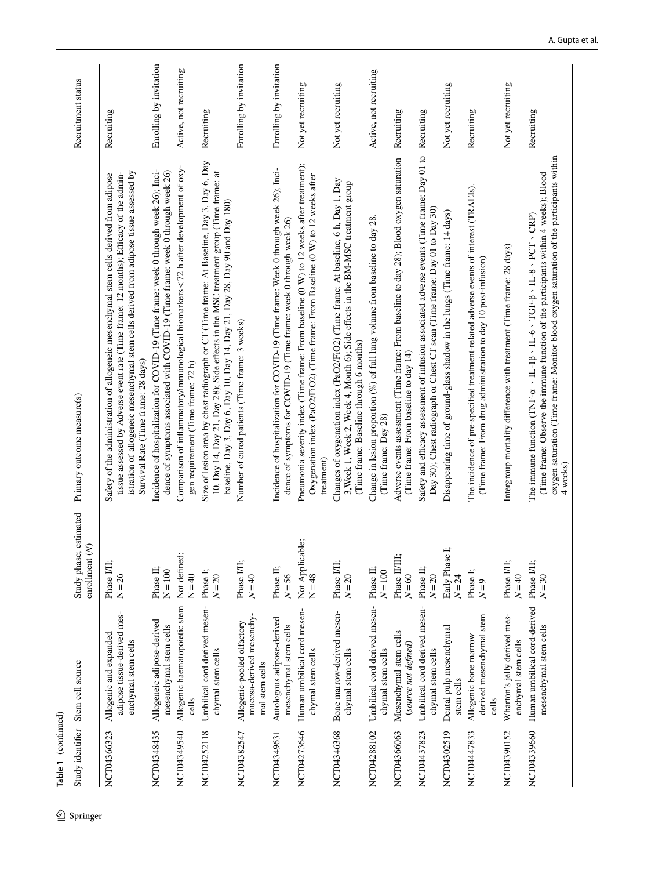| 2 Springer | Table 1 (continued) |                                                                              |                                               |                                                                                                                                                                                                                                                                                                                                                       |                         |
|------------|---------------------|------------------------------------------------------------------------------|-----------------------------------------------|-------------------------------------------------------------------------------------------------------------------------------------------------------------------------------------------------------------------------------------------------------------------------------------------------------------------------------------------------------|-------------------------|
|            | Study identifier    | Stem cell source                                                             | estimated<br>enrollment $(N)$<br>Study phase; | Primary outcome measure(s)                                                                                                                                                                                                                                                                                                                            | Recruitment status      |
|            | NCT04366323         | adipose tissue-derived mes-<br>Allogenic and expanded<br>enchymal stem cells | Phase I/II;<br>$N = 26$                       | istration of allogeneic mesenchymal stem cells derived from adipose tissue assessed by<br>tissue assessed by Adverse event rate (Time frame: 12 months); Efficacy of the admin-<br>Safety of the administration of allogeneic mesenchymal stem cells derived from adipose<br>Survival Rate (Time frame: 28 days)                                      | Recruiting              |
|            | NCT04348435         | Allogeneic adipose-derived<br>mesenchymal stem cells                         | Phase II:<br>$N = 100$                        | Incidence of hospitalization for COVID-19 (Time frame: week 0 through week 26); Inci-<br>dence of symptoms associated with COVID-19 (Time frame: week 0 through week 26)                                                                                                                                                                              | Enrolling by invitation |
|            | NCT04349540         | Allogenic haematopoietic stem<br>cells                                       | Not defined;<br>$N = 40$                      | Comparison of inflammatory/immunological biomarkers <72 h after development of oxy-<br>gen requirement (Time frame: 72 h)                                                                                                                                                                                                                             | Active, not recruiting  |
|            | NCT04252118         | Umbilical cord derived mesen-<br>chymal stem cells                           | Phase I;<br>$N=20$                            | Size of lesion area by chest radiograph or CT (Time frame: At Baseline, Day 3, Day 6, Day<br>10, Day 14, Day 21, Day 28); Side effects in the MSC treatment group (Time frame: at<br>baseline, Day 3, Day 6, Day 10, Day 14, Day 21, Day 28, Day 90 and Day 180)                                                                                      | Recruiting              |
|            | NCT04382547         | mucosa-derived mesenchy-<br>Allogenic-pooled olfactory<br>mal stem cells     | Phase I/II;<br>$N=40$                         | Number of cured patients (Time frame: 3 weeks)                                                                                                                                                                                                                                                                                                        | Enrolling by invitation |
|            | NCT04349631         | Autologous adipose-derived<br>mesenchymal stem cells                         | Phase II;<br>$N = 56$                         | Incidence of hospitalization for COVID-19 (Time frame: Week 0 through week 26); Inci-<br>dence of symptoms for COVID-19 (Time frame: week 0 through week 26)                                                                                                                                                                                          | Enrolling by invitation |
|            | NCT04273646         | Human umbilical cord mesen-<br>chymal stem cells                             | Not Applicable;<br>$N = 48$                   | Pneumonia severity index (Time frame: From baseline (0 W) to 12 weeks after treatment);<br>Oxygenation index (PaO2/FiO2) (Time frame: From Baseline (0 W) to 12 weeks after<br>treatment)                                                                                                                                                             | Not yet recruiting      |
|            | NCT04346368         | Bone marrow-derived mesen-<br>chymal stem cells                              | Phase I/II;<br>$N=20$                         | Changes of oxygenation index (PaO2/FiO2) (Time frame: At baseline, 6 h, Day 1, Day<br>3, Week 1, Week 2, Week 4, Month 6); Side effects in the BM-MSC treatment group<br>(Time frame: Baseline through 6 months)                                                                                                                                      | Not yet recruiting      |
|            | NCT04288102         | Umbilical cord derived mesen-<br>chymal stem cells                           | Phase II;<br>$N = 100$                        | Change in lesion proportion (%) of full lung volume from baseline to day 28.<br>(Time frame: Day 28)                                                                                                                                                                                                                                                  | Active, not recruiting  |
|            | NCT04366063         | Mesenchymal stem cells<br>(source not defined)                               | Phase II/II:<br>$N=60$                        | Adverse events assessment (Time frame: From baseline to day 28); Blood oxygen saturation<br>(Time frame: From baseline to day 14)                                                                                                                                                                                                                     | Recruiting              |
|            | NCT04437823         | Umbilical cord derived mesen-<br>chymal stem cells                           | Phase II;<br>$N=20$                           | Safety and efficacy assessment of infusion associated adverse events (Time frame: Day 01 to<br>Day 30); Chest radiograph or Chest CT scan (Time frame: Day 01 to Day 30)                                                                                                                                                                              | Recruiting              |
|            | NCT04302519         | Dental pulp mesenchymal<br>stem cells                                        | Ŀ<br>Early Phase<br>$N = 24$                  | Disappearing time of ground-glass shadow in the lungs (Time frame: 14 days)                                                                                                                                                                                                                                                                           | Not yet recruiting      |
|            | NCT04447833         | derived mesenchymal stem<br>Allogenic bone marrow<br>cells                   | Phase I;<br>$N=9$                             | The incidence of pre-specified treatment-related adverse events of interest (TRAEIs).<br>(Time frame: From drug administration to day 10 post-infusion)                                                                                                                                                                                               | Recruiting              |
|            | NCT04390152         | Wharton's jelly derived mes-<br>enchymal stem cells                          | Phase I/II;<br>$N=40$                         | Intergroup mortality difference with treatment (Time frame: 28 days)                                                                                                                                                                                                                                                                                  | Not yet recruiting      |
|            | NCT04339660         | Human umbilical cord-derived<br>mesenchymal stem cells                       | Phase I/II;<br>$N=30$                         | oxygen saturation (Time frame: Monitor blood oxygen saturation of the participants within<br>(Time frame: Observe the immune function of the participants within 4 weeks); Blood<br>The immune function (TNF- $\alpha \sim \text{IL-1}\beta \sim \text{IL-6} \cdot \text{TGF-}\beta \sim \text{IL-8} \cdot \text{PCT} \cdot \text{CRP}$ )<br>4 weeks) | Recruiting              |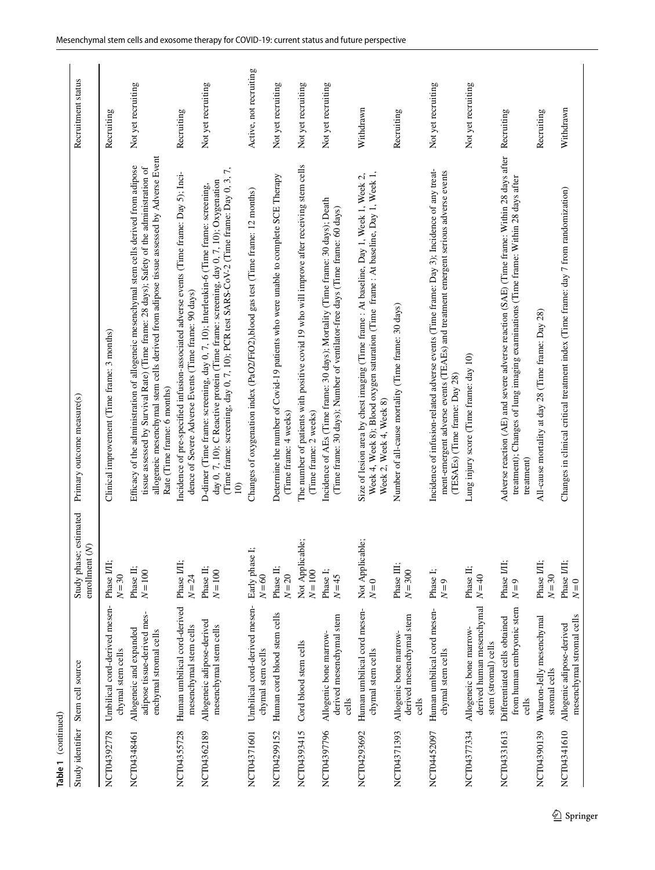| Table 1 (continued) |                                                                                  |                                                                   |                                                                                                                                                                                                                                                                                                                |                        |
|---------------------|----------------------------------------------------------------------------------|-------------------------------------------------------------------|----------------------------------------------------------------------------------------------------------------------------------------------------------------------------------------------------------------------------------------------------------------------------------------------------------------|------------------------|
| Study identifier    | Stem cell source                                                                 | Study phase; estimated<br>$\widetilde{\mathcal{S}}$<br>enrollment | Primary outcome measure(s)                                                                                                                                                                                                                                                                                     | Recruitment status     |
| NCT04392778         | Umbilical cord-derived mesen-<br>chymal stem cells                               | Phase I/II;<br>$N = 30$                                           | Clinical improvement (Time frame: 3 months)                                                                                                                                                                                                                                                                    | Recruiting             |
| NCT04348461         | adipose tissue-derived mes-<br>Allogeneic and expanded<br>enchymal stromal cells | Phase II;<br>$N = 100$                                            | allogeneic mesenchymal stem cells derived from adipose tissue assessed by Adverse Event<br>Efficacy of the administration of allogeneic mesenchymal stem cells derived from adipose<br>tissue assessed by Survival Rate) (Time frame: 28 days); Safety of the administration of<br>Rate (Time frame: 6 months) | Not yet recruiting     |
| NCT04355728         | Human umbilical cord-derived<br>mesenchymal stem cells                           | Phase I/II;<br>$N = 24$                                           | Incidence of pre-specified infusion-associated adverse events (Time frame: Day 5); Inci-<br>dence of Severe Adverse Events (Time frame: 90 days)                                                                                                                                                               | Recruiting             |
| NCT04362189         | Allogeneic adipose-derived<br>mesenchymal stem cells                             | Phase II;<br>$N=100$                                              | (Time frame: screening, day 0, 7, 10); PCR test SARS-CoV-2 (Time frame: Day 0, 3, 7,<br>day 0, 7, 10); C Reactive protein (Time frame: screening, day 0, 7, 10); Oxygenation<br>D-dimer (Time frame: screening, day 0, 7, 10); Interleukin-6 (Time frame: screening,<br>$\widehat{=}$                          | Not yet recruiting     |
| NCT04371601         | Umbilical cord-derived mesen-<br>chymal stem cells                               | Early phase I;<br>$N=60$                                          | Changes of oxygenation index (PaO2/FiO2),blood gas test (Time frame: 12 months)                                                                                                                                                                                                                                | Active, not recruiting |
| NCT04299152         | Human cord blood stem cells                                                      | Phase II;<br>$N = 20$                                             | Determine the number of Covid-19 patients who were unable to complete SCE Therapy<br>(Time frame: 4 weeks)                                                                                                                                                                                                     | Not yet recruiting     |
| NCT04393415         | Cord blood stem cells                                                            | Not Applicable;<br>$N = 100$                                      | The number of patients with positive covid 19 who will improve after receiving stem cells<br>(Time frame: 2 weeks)                                                                                                                                                                                             | Not yet recruiting     |
| NCT04397796         | derived mesenchymal stem<br>Allogenic bone marrow-<br>cells                      | Phase I;<br>$N=45$                                                | Incidence of AEs (Time frame: 30 days); Mortality (Time frame: 30 days); Death<br>(Time frame: 30 days); Number of ventilator-free days (Time frame: 60 days)                                                                                                                                                  | Not yet recruiting     |
| NCT04293692         | Human umbilical cord mesen-<br>chymal stem cells                                 | Not Applicable;<br>$N=0$                                          | Week 4, Week 8); Blood oxygen saturation (Time frame : At baseline, Day 1, Week 1,<br>Size of lesion area by chest imaging (Time frame : At baseline, Day 1, Week 1, Week 2,<br>Week 2, Week 4, Week 8)                                                                                                        | Withdrawn              |
| NCT04371393         | derived mesenchymal stem<br>Allogenic bone marrow-<br>cells                      | Phase III;<br>$N = 300$                                           | Number of all-cause mortality (Time frame: 30 days)                                                                                                                                                                                                                                                            | Recruiting             |
| NCT04452097         | Human umbilical cord mesen-<br>chymal stem cells                                 | Phase I;<br>$N=9$                                                 | Incidence of infusion-related adverse events (Time frame: Day 3); Incidence of any treat-<br>ment-emergent adverse events (TEAEs) and treatment emergent serious adverse events<br>(TESAEs) (Time frame: Day 28)                                                                                               | Not yet recruiting     |
| NCT04377334         | derived human mesenchymal<br>Allogeneic bone marrow-<br>stem (stromal) cells     | Phase II;<br>$N=40$                                               | Lung injury score (Time frame: day 10)                                                                                                                                                                                                                                                                         | Not yet recruiting     |
| NCT04331613         | from human embryonic stem<br>Differentiated cells obtained<br>cells              | Phase I/II;<br>$N=9$                                              | Adverse reaction (AE) and severe adverse reaction (SAE) (Time frame: Within 28 days after Recruiting<br>treatment); Changes of lung imaging examinations (Time frame: Within 28 days after<br>treatment)                                                                                                       |                        |
| NCT04390139         | Wharton-Jelly mesenchymal<br>stromal cells                                       | Phase I/II;<br>$N=30$                                             | All-cause mortality at day 28 (Time frame: Day 28)                                                                                                                                                                                                                                                             | Recruiting             |
| NCT04341610         | mesenchymal stromal cells<br>Allogenic adipose-derived                           | Phase I/II;<br>$N=0$                                              | Changes in clinical critical treatment index (Time frame: day 7 from randomization)                                                                                                                                                                                                                            | Withdrawn              |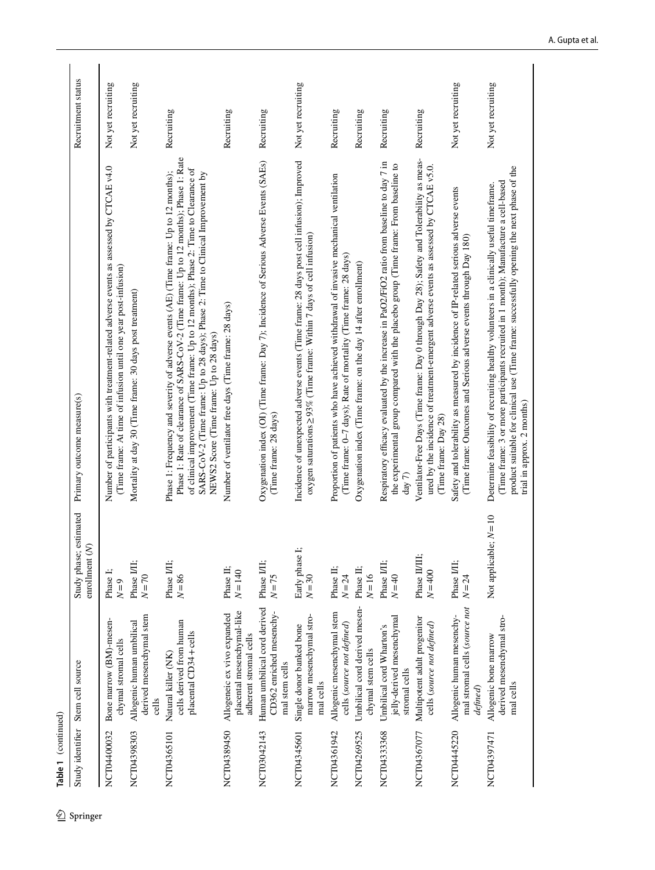| �        | Table 1 (continued) |                                                                                     |                                                     |                                                                                                                                                                                                                                                                                                                                                                                                       |                    |
|----------|---------------------|-------------------------------------------------------------------------------------|-----------------------------------------------------|-------------------------------------------------------------------------------------------------------------------------------------------------------------------------------------------------------------------------------------------------------------------------------------------------------------------------------------------------------------------------------------------------------|--------------------|
| Springer | Study identifier    | Stem cell source                                                                    | Study phase; estimated<br>enrollment <sub>(N)</sub> | Primary outcome measure(s)                                                                                                                                                                                                                                                                                                                                                                            | Recruitment status |
|          | NCT04400032         | Bone marrow (BM)-mesen-<br>chymal stromal cells                                     | Phase I;<br>$N=9$                                   | Number of participants with treatment-related adverse events as assessed by CTCAE v4.0<br>(Time frame: At time of infusion until one year post-infusion)                                                                                                                                                                                                                                              | Not yet recruiting |
|          | NCT04398303         | derived mesenchymal stem<br>Allogenic human umbilical<br>cells                      | Phase I/II;<br>$N = 70$                             | Mortality at day 30 (Time frame: 30 days post treatment)                                                                                                                                                                                                                                                                                                                                              | Not yet recruiting |
|          | NCT04365101         | cells derived from human<br>placental CD34+cells<br>Natural killer (NK)             | Phase I/II;<br>$N = 86$                             | Phase 1: Rate of clearance of SARS-CoV-2 (Time frame: Up to 12 months); Phase 1: Rate<br>of clinical improvement (Time frame: Up to 12 months); Phase 2: Time to Clearance of<br>Phase 1: Frequency and severity of adverse events (AE) (Time frame: Up to 12 months);<br>SARS-CoV-2 (Time frame: Up to 28 days); Phase 2: Time to Clinical Improvement by<br>NEWS2 Score (Time frame: Up to 28 days) | Recruiting         |
|          | NCT04389450         | placental mesenchymal-like<br>Allogeneic ex vivo expanded<br>adherent stromal cells | Phase II;<br>$N = 140$                              | Number of ventilator free days (Time frame: 28 days)                                                                                                                                                                                                                                                                                                                                                  | Recruiting         |
|          | NCT03042143         | Human umbilical cord derived<br>CD362 enriched mesenchy-<br>mal stem cells          | Phase I/II;<br>$N=75$                               | Oxygenation index (OI) (Time frame: Day 7); Incidence of Serious Adverse Events (SAEs)<br>(Time frame: 28 days)                                                                                                                                                                                                                                                                                       | Recruiting         |
|          | NCT04345601         | marrow mesenchymal stro-<br>Single donor banked bone<br>mal cells                   | Early phase I;<br>$N=30$                            | Incidence of unexpected adverse events (Time frame: 28 days post cell infusion); Improved<br>oxygen saturations≥93% (Time frame: Within 7 days of cell infusion)                                                                                                                                                                                                                                      | Not yet recruiting |
|          | NCT04361942         | Allogenic mesenchymal stem<br>cells (source not defined)                            | Phase II:<br>$N = 24$                               | Proportion of patients who have achieved withdrawal of invasive mechanical ventilation<br>(Time frame: 0-7 days); Rate of mortality (Time frame: 28 days)                                                                                                                                                                                                                                             | Recruiting         |
|          | NCT04269525         | Umbilical cord derived mesen-<br>chymal stem cells                                  | Phase II:<br>$N = 16$                               | Oxygenation index (Time frame: on the day 14 after enrollment)                                                                                                                                                                                                                                                                                                                                        | Recruiting         |
|          | NCT04333568         | jelly-derived mesenchymal<br>Umbilical cord Wharton's<br>stromal cells              | Phase I/II;<br>$N = 40$                             | Respiratory efficacy evaluated by the increase in PaO2/FiO2 ratio from baseline to day 7 in<br>the experimental group compared with the placebo group (Time frame: From baseline to<br>day 7                                                                                                                                                                                                          | Recruiting         |
|          | NCT04367077         | Multipotent adult progenitor<br>cells (source not defined)                          | Phase II/II<br>$N=400$                              | Ventilator-Free Days (Time frame: Day 0 through Day 28); Safety and Tolerability as meas-<br>ured by the incidence of treatment-emergent adverse events as assessed by CTCAE v5.0.<br>(Time frame: Day 28)                                                                                                                                                                                            | Recruiting         |
|          | NCT04445220         | mal stromal cells (source not<br>Allogenic human mesenchy-<br>defined)              | Phase I/II;<br>$N = 24$                             | Safety and tolerability as measured by incidence of IP-related serious adverse events<br>(Time frame: Outcomes and Serious adverse events through Day 180)                                                                                                                                                                                                                                            | Not yet recruiting |
|          | NCT04397471         | derived mesenchymal stro-<br>Allogenic bone marrow<br>mal cells                     | Not applicable; $N = 10$                            | product suitable for clinical use (Time frame: successfully opening the next phase of the<br>(Time frame: 3 or more participants recruited in 1 month); Manufacture a cell-based<br>Determine feasibility of recruiting healthy volunteers in a clinically useful timeframe.<br>trial in approx. 2 months)                                                                                            | Not yet recruiting |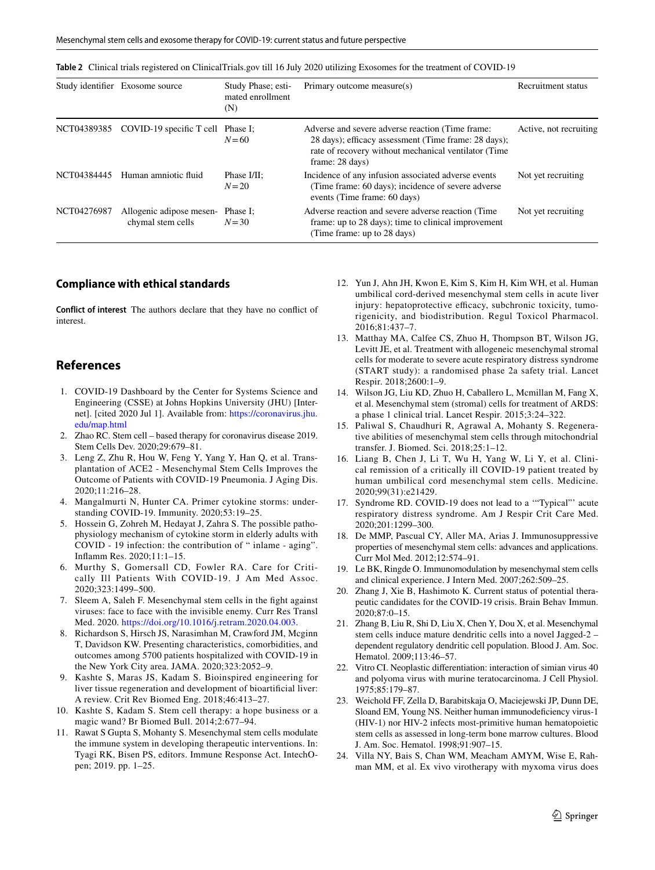<span id="page-10-24"></span>

|  | Table 2 Clinical trials registered on ClinicalTrials.gov till 16 July 2020 utilizing Exosomes for the treatment of COVID-19 |  |  |  |  |
|--|-----------------------------------------------------------------------------------------------------------------------------|--|--|--|--|
|--|-----------------------------------------------------------------------------------------------------------------------------|--|--|--|--|

|             | Study identifier Exosome source               | Study Phase; esti-<br>mated enrollment<br>(N) | Primary outcome measure(s)                                                                                                                                                          | Recruitment status     |
|-------------|-----------------------------------------------|-----------------------------------------------|-------------------------------------------------------------------------------------------------------------------------------------------------------------------------------------|------------------------|
|             | NCT04389385 COVID-19 specific T cell Phase I; | $N=60$                                        | Adverse and severe adverse reaction (Time frame:<br>28 days); efficacy assessment (Time frame: 28 days);<br>rate of recovery without mechanical ventilator (Time<br>frame: 28 days) | Active, not recruiting |
| NCT04384445 | Human amniotic fluid                          | Phase I/II:<br>$N=20$                         | Incidence of any infusion associated adverse events<br>(Time frame: 60 days); incidence of severe adverse<br>events (Time frame: 60 days)                                           | Not yet recruiting     |
| NCT04276987 | Allogenic adipose mesen-<br>chymal stem cells | Phase I:<br>$N = 30$                          | Adverse reaction and severe adverse reaction (Time<br>frame: up to 28 days); time to clinical improvement<br>(Time frame: up to 28 days)                                            | Not yet recruiting     |

#### **Compliance with ethical standards**

**Conflict of interest** The authors declare that they have no confict of interest.

## **References**

- <span id="page-10-0"></span>1. COVID-19 Dashboard by the Center for Systems Science and Engineering (CSSE) at Johns Hopkins University (JHU) [Internet]. [cited 2020 Jul 1]. Available from: [https://coronavirus.jhu.](https://coronavirus.jhu.edu/map.html) [edu/map.html](https://coronavirus.jhu.edu/map.html)
- <span id="page-10-1"></span>2. Zhao RC. Stem cell – based therapy for coronavirus disease 2019. Stem Cells Dev. 2020;29:679–81.
- <span id="page-10-2"></span>3. Leng Z, Zhu R, Hou W, Feng Y, Yang Y, Han Q, et al. Transplantation of ACE2 - Mesenchymal Stem Cells Improves the Outcome of Patients with COVID-19 Pneumonia. J Aging Dis. 2020;11:216–28.
- <span id="page-10-3"></span>4. Mangalmurti N, Hunter CA. Primer cytokine storms: understanding COVID-19. Immunity. 2020;53:19–25.
- <span id="page-10-4"></span>5. Hossein G, Zohreh M, Hedayat J, Zahra S. The possible pathophysiology mechanism of cytokine storm in elderly adults with COVID - 19 infection: the contribution of " inlame - aging". Infamm Res. 2020;11:1–15.
- <span id="page-10-5"></span>6. Murthy S, Gomersall CD, Fowler RA. Care for Critically Ill Patients With COVID-19. J Am Med Assoc. 2020;323:1499–500.
- <span id="page-10-6"></span>7. Sleem A, Saleh F. Mesenchymal stem cells in the fght against viruses: face to face with the invisible enemy. Curr Res Transl Med. 2020. <https://doi.org/10.1016/j.retram.2020.04.003>.
- <span id="page-10-7"></span>8. Richardson S, Hirsch JS, Narasimhan M, Crawford JM, Mcginn T, Davidson KW. Presenting characteristics, comorbidities, and outcomes among 5700 patients hospitalized with COVID-19 in the New York City area. JAMA. 2020;323:2052–9.
- <span id="page-10-8"></span>9. Kashte S, Maras JS, Kadam S. Bioinspired engineering for liver tissue regeneration and development of bioartifcial liver: A review. Crit Rev Biomed Eng. 2018;46:413–27.
- <span id="page-10-9"></span>10. Kashte S, Kadam S. Stem cell therapy: a hope business or a magic wand? Br Biomed Bull. 2014;2:677–94.
- <span id="page-10-10"></span>11. Rawat S Gupta S, Mohanty S. Mesenchymal stem cells modulate the immune system in developing therapeutic interventions. In: Tyagi RK, Bisen PS, editors. Immune Response Act. IntechOpen; 2019. pp. 1–25.
- <span id="page-10-11"></span>12. Yun J, Ahn JH, Kwon E, Kim S, Kim H, Kim WH, et al. Human umbilical cord-derived mesenchymal stem cells in acute liver injury: hepatoprotective efficacy, subchronic toxicity, tumorigenicity, and biodistribution. Regul Toxicol Pharmacol. 2016;81:437–7.
- <span id="page-10-12"></span>13. Matthay MA, Calfee CS, Zhuo H, Thompson BT, Wilson JG, Levitt JE, et al. Treatment with allogeneic mesenchymal stromal cells for moderate to severe acute respiratory distress syndrome (START study): a randomised phase 2a safety trial. Lancet Respir. 2018;2600:1–9.
- <span id="page-10-13"></span>14. Wilson JG, Liu KD, Zhuo H, Caballero L, Mcmillan M, Fang X, et al. Mesenchymal stem (stromal) cells for treatment of ARDS: a phase 1 clinical trial. Lancet Respir. 2015;3:24–322.
- <span id="page-10-14"></span>15. Paliwal S, Chaudhuri R, Agrawal A, Mohanty S. Regenerative abilities of mesenchymal stem cells through mitochondrial transfer. J. Biomed. Sci. 2018;25:1–12.
- <span id="page-10-15"></span>16. Liang B, Chen J, Li T, Wu H, Yang W, Li Y, et al. Clinical remission of a critically ill COVID-19 patient treated by human umbilical cord mesenchymal stem cells. Medicine. 2020;99(31):e21429.
- <span id="page-10-16"></span>17. Syndrome RD. COVID-19 does not lead to a '"Typical"' acute respiratory distress syndrome. Am J Respir Crit Care Med. 2020;201:1299–300.
- <span id="page-10-17"></span>18. De MMP, Pascual CY, Aller MA, Arias J. Immunosuppressive properties of mesenchymal stem cells: advances and applications. Curr Mol Med. 2012;12:574–91.
- <span id="page-10-18"></span>19. Le BK, Ringde O. Immunomodulation by mesenchymal stem cells and clinical experience. J Intern Med. 2007;262:509–25.
- <span id="page-10-19"></span>20. Zhang J, Xie B, Hashimoto K. Current status of potential therapeutic candidates for the COVID-19 crisis. Brain Behav Immun. 2020;87:0–15.
- <span id="page-10-20"></span>21. Zhang B, Liu R, Shi D, Liu X, Chen Y, Dou X, et al. Mesenchymal stem cells induce mature dendritic cells into a novel Jagged-2 – dependent regulatory dendritic cell population. Blood J. Am. Soc. Hematol. 2009;113:46–57.
- <span id="page-10-21"></span>22. Vitro CI. Neoplastic diferentiation: interaction of simian virus 40 and polyoma virus with murine teratocarcinoma. J Cell Physiol. 1975;85:179–87.
- <span id="page-10-22"></span>23. Weichold FF, Zella D, Barabitskaja O, Maciejewski JP, Dunn DE, Sloand EM, Young NS. Neither human immunodefciency virus-1 (HIV-1) nor HIV-2 infects most-primitive human hematopoietic stem cells as assessed in long-term bone marrow cultures. Blood J. Am. Soc. Hematol. 1998;91:907–15.
- <span id="page-10-23"></span>24. Villa NY, Bais S, Chan WM, Meacham AMYM, Wise E, Rahman MM, et al. Ex vivo virotherapy with myxoma virus does